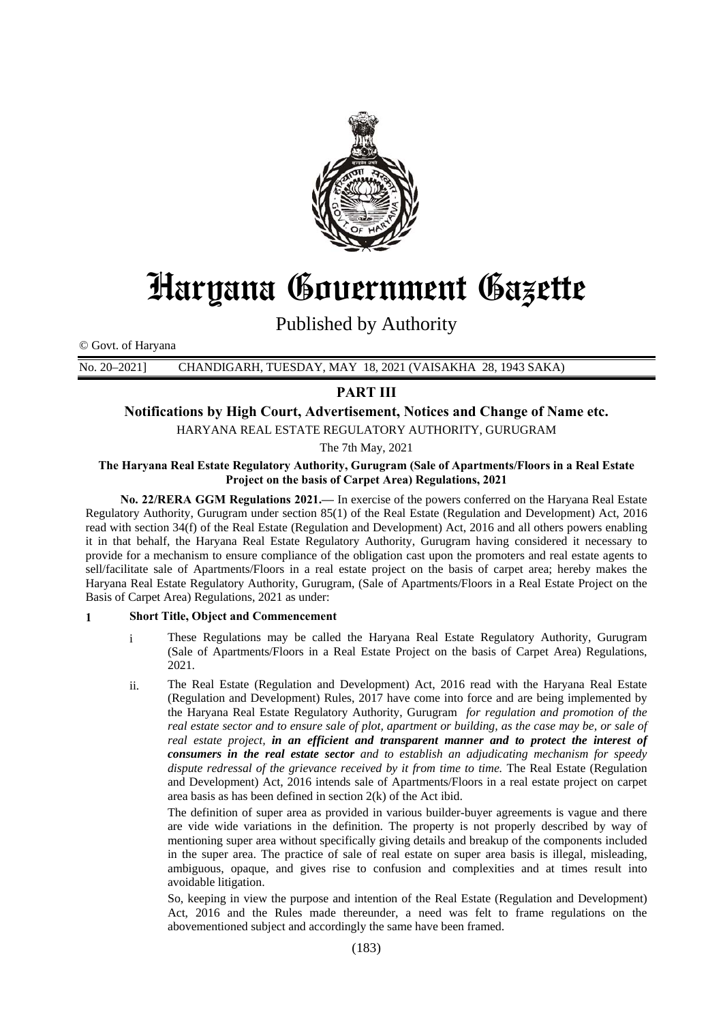

# Haryana Government Gazette

Published by Authority

© Govt. of Haryana

No. 20–2021] CHANDIGARH, TUESDAY, MAY 18, 2021 (VAISAKHA 28, 1943 SAKA)

# **PART III**

# **Notifications by High Court, Advertisement, Notices and Change of Name etc.**

HARYANA REAL ESTATE REGULATORY AUTHORITY, GURUGRAM

The 7th May, 2021

#### **The Haryana Real Estate Regulatory Authority, Gurugram (Sale of Apartments/Floors in a Real Estate Project on the basis of Carpet Area) Regulations, 2021**

 **No. 22/RERA GGM Regulations 2021.—** In exercise of the powers conferred on the Haryana Real Estate Regulatory Authority, Gurugram under section 85(1) of the Real Estate (Regulation and Development) Act, 2016 read with section 34(f) of the Real Estate (Regulation and Development) Act, 2016 and all others powers enabling it in that behalf, the Haryana Real Estate Regulatory Authority, Gurugram having considered it necessary to provide for a mechanism to ensure compliance of the obligation cast upon the promoters and real estate agents to sell/facilitate sale of Apartments/Floors in a real estate project on the basis of carpet area; hereby makes the Haryana Real Estate Regulatory Authority, Gurugram, (Sale of Apartments/Floors in a Real Estate Project on the Basis of Carpet Area) Regulations, 2021 as under:

## **1 Short Title, Object and Commencement**

- i These Regulations may be called the Haryana Real Estate Regulatory Authority, Gurugram (Sale of Apartments/Floors in a Real Estate Project on the basis of Carpet Area) Regulations, 2021.
- ii. The Real Estate (Regulation and Development) Act, 2016 read with the Haryana Real Estate (Regulation and Development) Rules, 2017 have come into force and are being implemented by the Haryana Real Estate Regulatory Authority, Gurugram *for regulation and promotion of the real estate sector and to ensure sale of plot, apartment or building, as the case may be, or sale of real estate project, in an efficient and transparent manner and to protect the interest of consumers in the real estate sector and to establish an adjudicating mechanism for speedy dispute redressal of the grievance received by it from time to time.* The Real Estate (Regulation and Development) Act, 2016 intends sale of Apartments/Floors in a real estate project on carpet area basis as has been defined in section 2(k) of the Act ibid.

The definition of super area as provided in various builder-buyer agreements is vague and there are vide wide variations in the definition. The property is not properly described by way of mentioning super area without specifically giving details and breakup of the components included in the super area. The practice of sale of real estate on super area basis is illegal, misleading, ambiguous, opaque, and gives rise to confusion and complexities and at times result into avoidable litigation.

So, keeping in view the purpose and intention of the Real Estate (Regulation and Development) Act, 2016 and the Rules made thereunder, a need was felt to frame regulations on the abovementioned subject and accordingly the same have been framed.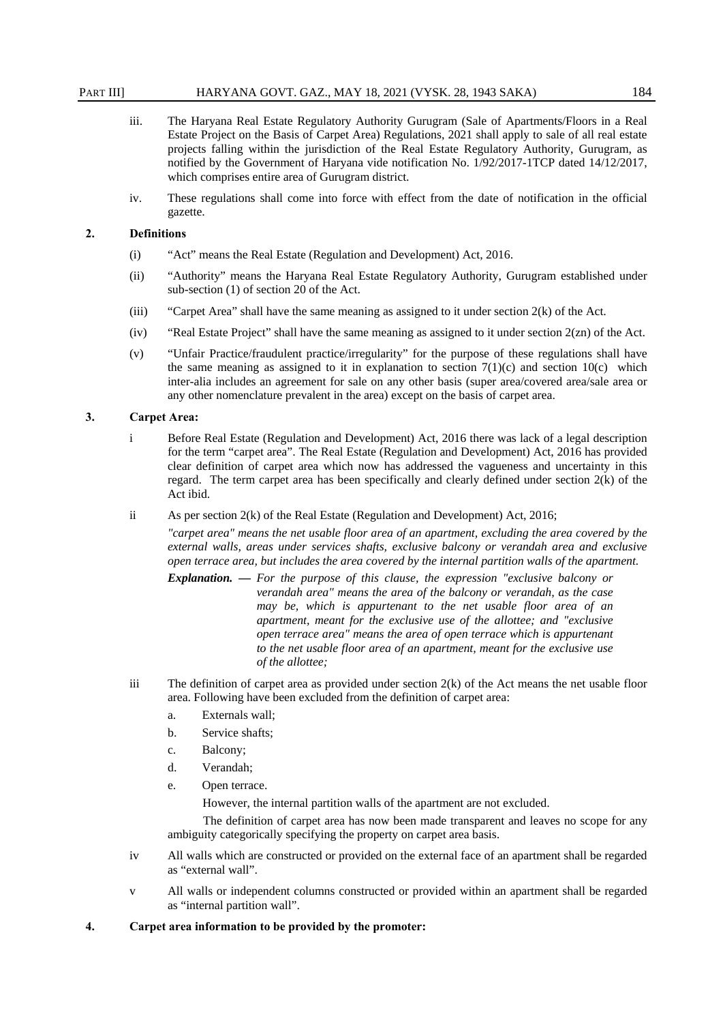#### PART III] HARYANA GOVT. GAZ., MAY 18, 2021 (VYSK. 28, 1943 SAKA) 184

- iii. The Haryana Real Estate Regulatory Authority Gurugram (Sale of Apartments/Floors in a Real Estate Project on the Basis of Carpet Area) Regulations, 2021 shall apply to sale of all real estate projects falling within the jurisdiction of the Real Estate Regulatory Authority, Gurugram, as notified by the Government of Haryana vide notification No. 1/92/2017-1TCP dated 14/12/2017, which comprises entire area of Gurugram district.
- iv. These regulations shall come into force with effect from the date of notification in the official gazette.

#### **2. Definitions**

- (i) "Act" means the Real Estate (Regulation and Development) Act, 2016.
- (ii) "Authority" means the Haryana Real Estate Regulatory Authority, Gurugram established under sub-section (1) of section 20 of the Act.
- (iii) "Carpet Area" shall have the same meaning as assigned to it under section  $2(k)$  of the Act.
- (iv) "Real Estate Project" shall have the same meaning as assigned to it under section 2(zn) of the Act.
- (v) "Unfair Practice/fraudulent practice/irregularity" for the purpose of these regulations shall have the same meaning as assigned to it in explanation to section  $7(1)(c)$  and section  $10(c)$  which inter-alia includes an agreement for sale on any other basis (super area/covered area/sale area or any other nomenclature prevalent in the area) except on the basis of carpet area.

#### **3. Carpet Area:**

- i Before Real Estate (Regulation and Development) Act, 2016 there was lack of a legal description for the term "carpet area". The Real Estate (Regulation and Development) Act, 2016 has provided clear definition of carpet area which now has addressed the vagueness and uncertainty in this regard. The term carpet area has been specifically and clearly defined under section 2(k) of the Act ibid.
- ii As per section 2(k) of the Real Estate (Regulation and Development) Act, 2016;

*"carpet area" means the net usable floor area of an apartment, excluding the area covered by the external walls, areas under services shafts, exclusive balcony or verandah area and exclusive open terrace area, but includes the area covered by the internal partition walls of the apartment.*

- *Explanation. — For the purpose of this clause, the expression "exclusive balcony or verandah area" means the area of the balcony or verandah, as the case may be, which is appurtenant to the net usable floor area of an apartment, meant for the exclusive use of the allottee; and "exclusive open terrace area" means the area of open terrace which is appurtenant to the net usable floor area of an apartment, meant for the exclusive use of the allottee;*
- iii The definition of carpet area as provided under section 2(k) of the Act means the net usable floor area. Following have been excluded from the definition of carpet area:
	- a. Externals wall;
	- b. Service shafts;
	- c. Balcony;
	- d. Verandah;
	- e. Open terrace.

However, the internal partition walls of the apartment are not excluded.

The definition of carpet area has now been made transparent and leaves no scope for any ambiguity categorically specifying the property on carpet area basis.

- iv All walls which are constructed or provided on the external face of an apartment shall be regarded as "external wall".
- v All walls or independent columns constructed or provided within an apartment shall be regarded as "internal partition wall".
- **4. Carpet area information to be provided by the promoter:**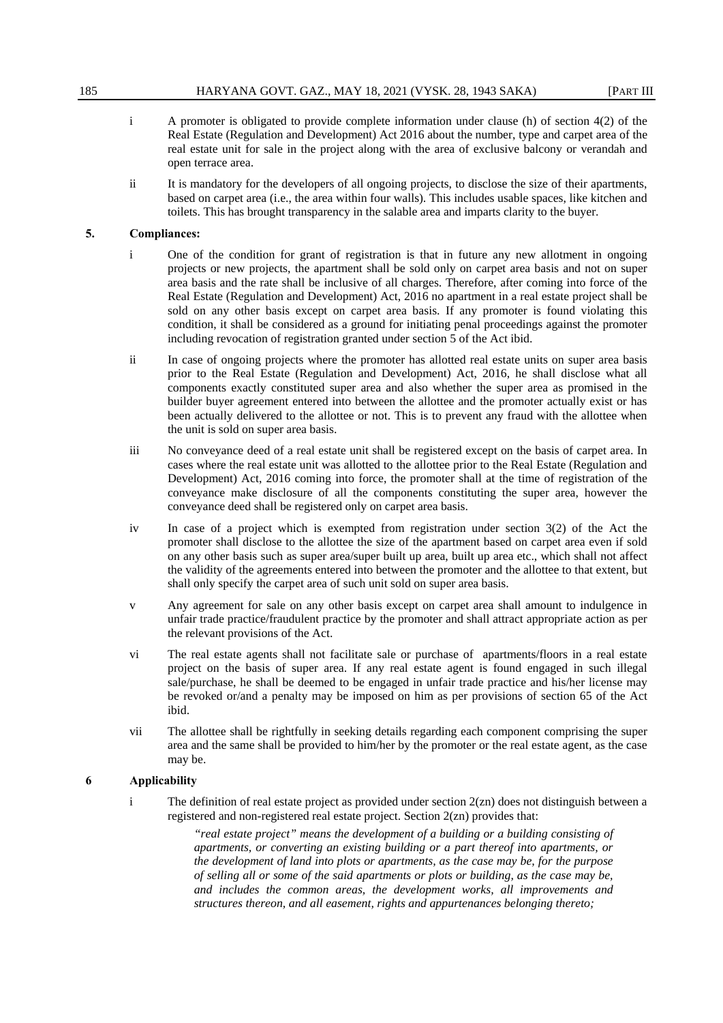- i A promoter is obligated to provide complete information under clause (h) of section 4(2) of the Real Estate (Regulation and Development) Act 2016 about the number, type and carpet area of the real estate unit for sale in the project along with the area of exclusive balcony or verandah and open terrace area.
- ii It is mandatory for the developers of all ongoing projects, to disclose the size of their apartments, based on carpet area (i.e., the area within four walls). This includes usable spaces, like kitchen and toilets. This has brought transparency in the salable area and imparts clarity to the buyer.

## **5. Compliances:**

- i One of the condition for grant of registration is that in future any new allotment in ongoing projects or new projects, the apartment shall be sold only on carpet area basis and not on super area basis and the rate shall be inclusive of all charges. Therefore, after coming into force of the Real Estate (Regulation and Development) Act, 2016 no apartment in a real estate project shall be sold on any other basis except on carpet area basis. If any promoter is found violating this condition, it shall be considered as a ground for initiating penal proceedings against the promoter including revocation of registration granted under section 5 of the Act ibid.
- ii In case of ongoing projects where the promoter has allotted real estate units on super area basis prior to the Real Estate (Regulation and Development) Act, 2016, he shall disclose what all components exactly constituted super area and also whether the super area as promised in the builder buyer agreement entered into between the allottee and the promoter actually exist or has been actually delivered to the allottee or not. This is to prevent any fraud with the allottee when the unit is sold on super area basis.
- iii No conveyance deed of a real estate unit shall be registered except on the basis of carpet area. In cases where the real estate unit was allotted to the allottee prior to the Real Estate (Regulation and Development) Act, 2016 coming into force, the promoter shall at the time of registration of the conveyance make disclosure of all the components constituting the super area, however the conveyance deed shall be registered only on carpet area basis.
- iv In case of a project which is exempted from registration under section 3(2) of the Act the promoter shall disclose to the allottee the size of the apartment based on carpet area even if sold on any other basis such as super area/super built up area, built up area etc., which shall not affect the validity of the agreements entered into between the promoter and the allottee to that extent, but shall only specify the carpet area of such unit sold on super area basis.
- v Any agreement for sale on any other basis except on carpet area shall amount to indulgence in unfair trade practice/fraudulent practice by the promoter and shall attract appropriate action as per the relevant provisions of the Act.
- vi The real estate agents shall not facilitate sale or purchase of apartments/floors in a real estate project on the basis of super area. If any real estate agent is found engaged in such illegal sale/purchase, he shall be deemed to be engaged in unfair trade practice and his/her license may be revoked or/and a penalty may be imposed on him as per provisions of section 65 of the Act ibid.
- vii The allottee shall be rightfully in seeking details regarding each component comprising the super area and the same shall be provided to him/her by the promoter or the real estate agent, as the case may be.

## **6 Applicability**

i The definition of real estate project as provided under section 2(zn) does not distinguish between a registered and non-registered real estate project. Section 2(zn) provides that:

> *"real estate project" means the development of a building or a building consisting of apartments, or converting an existing building or a part thereof into apartments, or the development of land into plots or apartments, as the case may be, for the purpose of selling all or some of the said apartments or plots or building, as the case may be, and includes the common areas, the development works, all improvements and structures thereon, and all easement, rights and appurtenances belonging thereto;*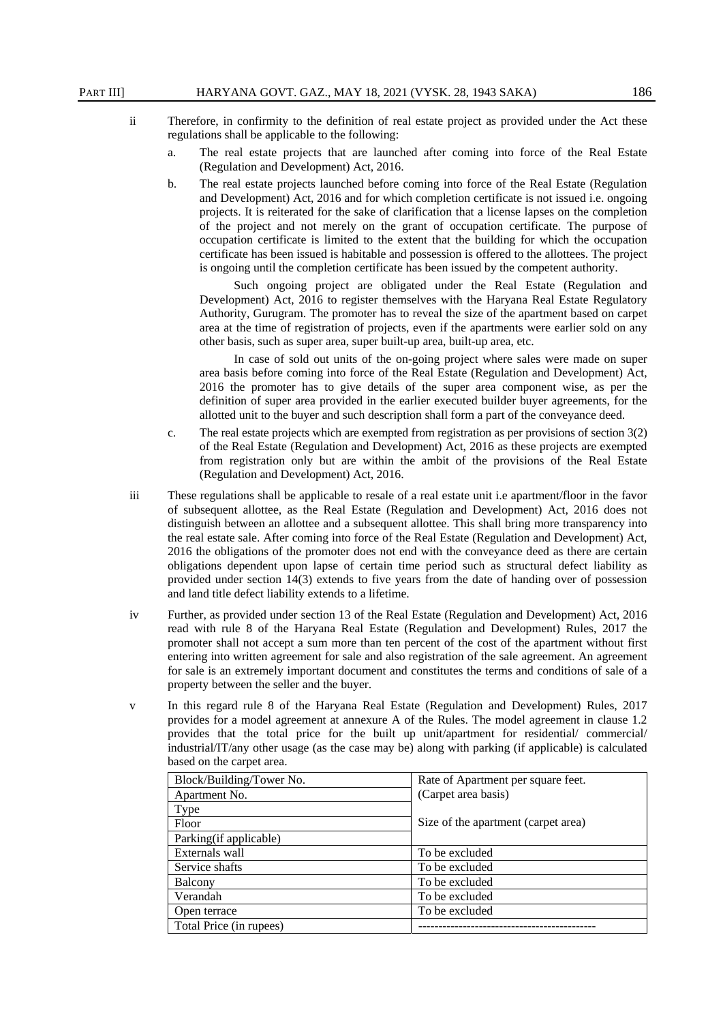- ii Therefore, in confirmity to the definition of real estate project as provided under the Act these regulations shall be applicable to the following:
	- a. The real estate projects that are launched after coming into force of the Real Estate (Regulation and Development) Act, 2016.
	- b. The real estate projects launched before coming into force of the Real Estate (Regulation and Development) Act, 2016 and for which completion certificate is not issued i.e. ongoing projects. It is reiterated for the sake of clarification that a license lapses on the completion of the project and not merely on the grant of occupation certificate. The purpose of occupation certificate is limited to the extent that the building for which the occupation certificate has been issued is habitable and possession is offered to the allottees. The project is ongoing until the completion certificate has been issued by the competent authority.

Such ongoing project are obligated under the Real Estate (Regulation and Development) Act, 2016 to register themselves with the Haryana Real Estate Regulatory Authority, Gurugram. The promoter has to reveal the size of the apartment based on carpet area at the time of registration of projects, even if the apartments were earlier sold on any other basis, such as super area, super built-up area, built-up area, etc.

In case of sold out units of the on-going project where sales were made on super area basis before coming into force of the Real Estate (Regulation and Development) Act, 2016 the promoter has to give details of the super area component wise, as per the definition of super area provided in the earlier executed builder buyer agreements, for the allotted unit to the buyer and such description shall form a part of the conveyance deed.

- c. The real estate projects which are exempted from registration as per provisions of section 3(2) of the Real Estate (Regulation and Development) Act, 2016 as these projects are exempted from registration only but are within the ambit of the provisions of the Real Estate (Regulation and Development) Act, 2016.
- iii These regulations shall be applicable to resale of a real estate unit i.e apartment/floor in the favor of subsequent allottee, as the Real Estate (Regulation and Development) Act, 2016 does not distinguish between an allottee and a subsequent allottee. This shall bring more transparency into the real estate sale. After coming into force of the Real Estate (Regulation and Development) Act, 2016 the obligations of the promoter does not end with the conveyance deed as there are certain obligations dependent upon lapse of certain time period such as structural defect liability as provided under section 14(3) extends to five years from the date of handing over of possession and land title defect liability extends to a lifetime.
- iv Further, as provided under section 13 of the Real Estate (Regulation and Development) Act, 2016 read with rule 8 of the Haryana Real Estate (Regulation and Development) Rules, 2017 the promoter shall not accept a sum more than ten percent of the cost of the apartment without first entering into written agreement for sale and also registration of the sale agreement. An agreement for sale is an extremely important document and constitutes the terms and conditions of sale of a property between the seller and the buyer.
- v In this regard rule 8 of the Haryana Real Estate (Regulation and Development) Rules, 2017 provides for a model agreement at annexure A of the Rules. The model agreement in clause 1.2 provides that the total price for the built up unit/apartment for residential/ commercial/ industrial/IT/any other usage (as the case may be) along with parking (if applicable) is calculated based on the carpet area.

| Block/Building/Tower No. | Rate of Apartment per square feet.  |
|--------------------------|-------------------------------------|
| Apartment No.            | (Carpet area basis)                 |
| Type                     |                                     |
| Floor                    | Size of the apartment (carpet area) |
| Parking (if applicable)  |                                     |
| Externals wall           | To be excluded                      |
| Service shafts           | To be excluded                      |
| Balcony                  | To be excluded                      |
| Verandah                 | To be excluded                      |
| Open terrace             | To be excluded                      |
| Total Price (in rupees)  |                                     |